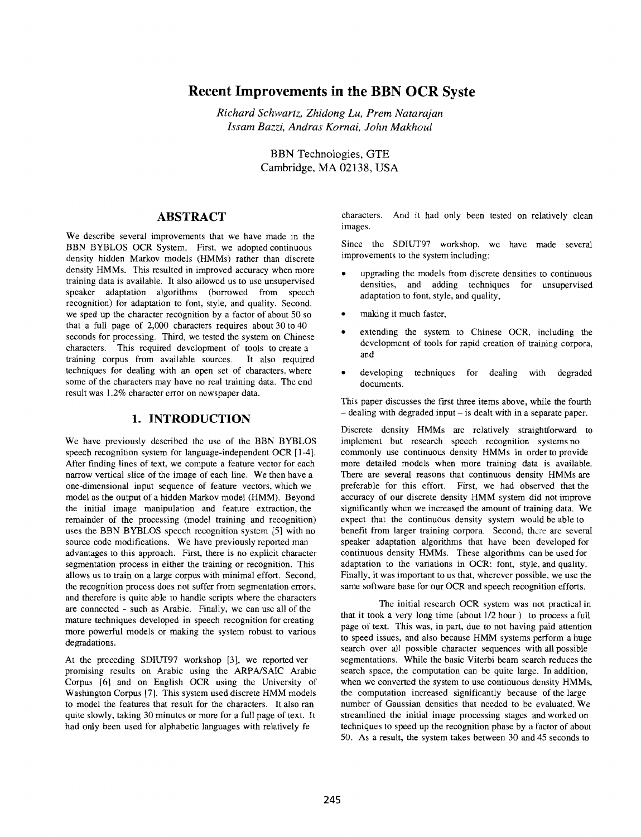# **Recent Improvements in the BBN OCR Syste**

*Richard Schwartz, Zhidong Lu, Prem Natarajan lssam Bazzi, Andras Kornai, John Makhoul* 

> BBN Technologies, GTE Cambridge, MA 02138, USA

We describe several improvements that we have made in the BBN BYBLOS OCR System. First, we adopted continuous density hidden Markov models (HMMs) rather than discrete density HMMs. This resulted in improved accuracy when more training data is available. It also allowed us to use unsupervised speaker adaptation algorithms (borrowed from speech recognition) for adaptation to font, style, and quality. Second. we sped up the character recognition by a factor of about 50 so that a full page of 2,000 characters requires about 30 to 40 seconds for processing. Third, we tested the system on Chinese characters. This required development of tools to create a training corpus from available sources. It also required techniques for dealing with an open set of characters, where some of the characters may have no real training data. The end result was 1.2% character error on newspaper data.

#### **1. INTRODUCTION**

We have previously described the use of the BBN BYBLOS speech recognition system for language-independent OCR [1-4]. After finding lines of text, we compute a feature vector for each narrow vertical slice of the image of each line. We then have a one-dimensional input sequence of feature vectors, which we model as the output of a hidden Markov model (HMM). Beyond the initial image manipulation and feature extraction, the remainder of the processing (model training and recognition) uses the BBN BYBLOS speech recognition system [5] with no source code modifications. We have previously reported man advantages to this approach. First, there is no explicit character segmentation process in either the training or recognition. This allows us to train on a large corpus with minimal effort. Second, the recognition process does not suffer from segmentation errors, and therefore is quite able to handle scripts where the characters are connected - such as Arabic. Finally, we can use all of the mature techniques developed in speech recognition for creating more powerful models or making the system robust to various degradations.

At the preceding SDlUT97 workshop [3], we reported ver promising results on Arabic using the ARPNSAIC Arabic Corpus [6] and on English OCR using the University of Washington Corpus [7]. This system used discrete HMM models to model the features that result for the characters. It also ran quite slowly, taking 30 minutes or more for a full page of text. It had only been used for alphabetic languages with relatively fe

**ABSTRACT** characters. And it had only been tested on relatively clean images.

> Since the SDIUT97 workshop, we have made several improvements to the system including:

- upgrading the models from discrete densities to continuous densities, and adding techniques for unsupervised adaptation to font, style, and quality,
- making it much faster,
- extending the system to Chinese OCR, including the development of tools for rapid creation of training corpora, and
- developing techniques for dealing with degraded documents.

This paper discusses the first three items above, while the fourth - dealing with degraded input - is dealt with in a separate paper.

Discrete density HMMs are relatively straightforward to implement but research speech recognition systems no commonly use continuous density HMMs in order to provide more detailed models when more training data is available. There are several reasons that continuous density HMMs are preferable for this effort. First, we had observed that the accuracy of our discrete density HMM system did not improve significantly when we increased the amount of training data. We expect that the continuous density system would be able to benefit from larger training corpora. Second, there are several speaker adaptation algorithms that have been developed for continuous density HMMs. These algorithms can be used for adaptation to the variations in OCR: font, style, and quality. Finally, it was important to us that, wherever possible, we use the same software base for our OCR and speech recognition efforts.

The initial research OCR system was not practical in that it took a very long time (about 1/2 hour) to process a full page of text. This was, in part, due to not having paid attention to speed issues, and also because HMM systems perform a huge search over all possible character sequences with all possible segmentations. While the basic Viterbi beam search reduces the search space, the computation can be quite large. In addition, when we converted the system to use continuous density HMMs, the computation increased significantly because of the large number of Gaussian densities that needed to be evaluated. We streamlined the initial image processing stages and worked on techniques to speed up the recognition phase by a factor of about 50. As a result, the system takes between 30 and 45 seconds to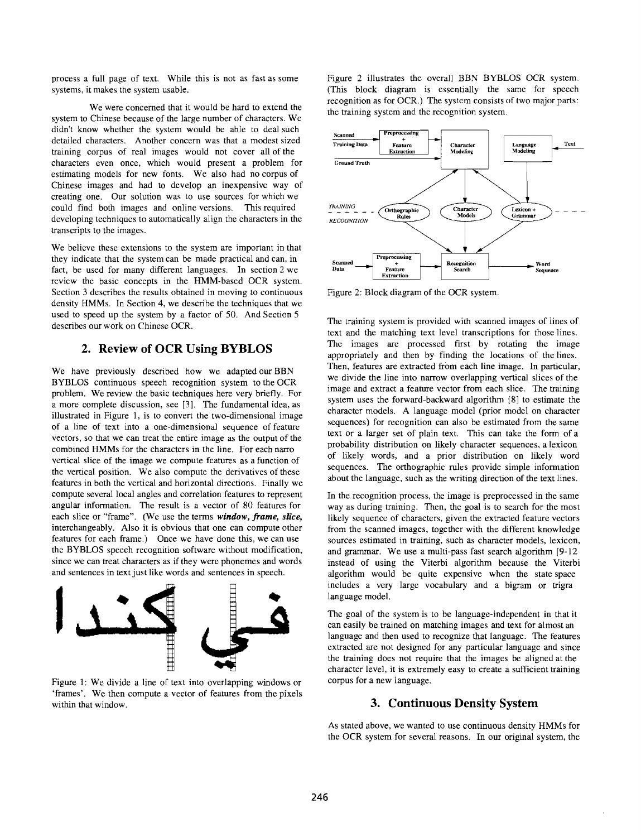process a full page of text. While this is not as fast as some systems, it makes the system usable.

We were concerned that it would be hard to extend the system to Chinese because of the large number of characters. We didn't know whether the system would be able to deal such detailed characters. Another concern was that a modest sized training corpus of real images would not cover all of the characters even once, which would present a problem for estimating models for new fonts. We also had no corpus of Chinese images and had to develop an inexpensive way of creating one. Our solution was to use sources for which we could find both images and online versions. This required developing techniques to automatically align the characters in the transcripts to the images.

We believe these extensions to the system are important in that they indicate that the system can be made practical and can, in fact, be used for many different languages. In section 2 we review the basic concepts in the HMM-based OCR system. Section 3 describes the results obtained in moving to continuous density HMMs. In Section 4, we describe the techniques that we used to speed up the system by a factor of 50. And Section 5 describes our work on Chinese OCR.

# **2. Review of OCR Using BYBLOS**

We have previously described how we adapted our BBN BYBLOS continuous speech recognition system to the OCR problem. We review the basic techniques here very briefly. For a more complete discussion, see [3]. The fundamental idea, as illustrated in Figure 1, is to convert the two-dimensional image of a line of text into a one-dimensional sequence of feature vectors, so that we can treat the entire image as the output of the combined HMMs for the characters in the line. For each narro vertical slice of the image we compute features as a function of the vertical position. We also compute the derivatives of these features in both the vertical and horizontal directions. Finally we compute several local angles and correlation features to represent angular information. The result is a vector of 80 features for each slice or "frame". (We use the terms *window, frame, slice,*  interchangeably. Also it is obvious that one can compute other features for each frame.) Once we have done this, we can use the BYBLOS speech recognition software without modification, since we can treat characters as if they were phonemes and words and sentences in text just like words and sentences in speech.



Figure 1: We divide a line of text into overlapping windows or 'frames'. We then compute a vector of features from the pixels within that window.

Figure 2 illustrates the overall BBN BYBLOS OCR system. (This block diagram is essentially the same for speech recognition as for OCR.) The system consists of two major parts: the training system and the recognition system.



Figure 2: Block diagram of the OCR system.

The training system is provided with scanned images of lines of text and the matching text level transcriptions for those lines. The images are processed first by rotating the image appropriately and then by finding the locations of the lines. Then, features are extracted from each line image. In particular, we divide the line into narrow overlapping vertical slices of the image and extract a feature vector from each slice. The training system uses the forward-backward algorithm [8] to estimate the character models. A language model (prior model on character sequences) for recognition can also be estimated from the same text or a larger set of plain text. This can take the form of a probability distribution on likely character sequences, a lexicon of likely words, and a prior distribution on likely word sequences. The orthographic rules provide simple information about the language, such as the writing direction of the text lines.

In the recognition process, the image is preprocessed in the same way as during training. Then, the goal is to search for the most likely sequence of characters, given the extracted feature vectors from the scanned images, together with the different knowledge sources estimated in training, such as character models, lexicon, and grammar. We use a multi-pass fast search algorithm [9-12] instead of using the Viterbi algorithm because the Viterbi algorithm would be quite expensive when the state space includes a very large vocabulary and a bigram or trigra language model.

The goal of the system is to be language-independent in that it can easily be trained on matching images and text for almost an language and then used to recognize that language. The features extracted are not designed for any particular language and since the training does not require that the images be aligned at the character level, it is extremely easy to create a sufficient training corpus for a new language.

#### **3. Continuous Density System**

As stated above, we wanted to use continuous density HMMs for the OCR system for several reasons. In our original system, the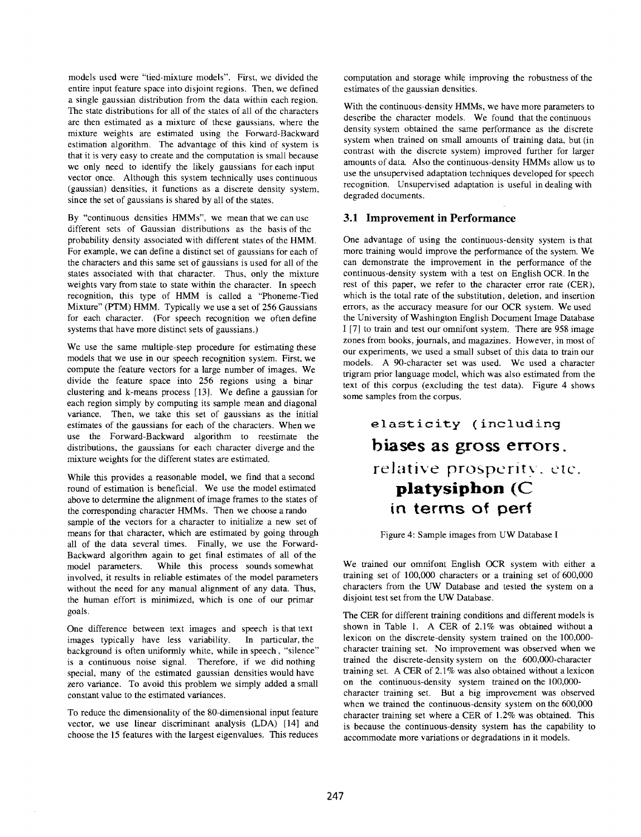models used were "tied-mixture models". First, we divided the entire input feature space into disjoint regions. Then, we defined a single gaussian distribution from the data within each region. The state distributions for all of the states of all of the characters are then estimated as a mixture of these gaussians, where the mixture weights are estimated using the Forward-Backward estimation algorithm. The advantage of this kind of system is that it is very easy to create and the computation is small because we only need to identify the likely gaussians for each input vector once. Although this system technically uses continuous (gaussian) densities, it functions as a discrete density system. since the set of gaussians is shared by all of the states.

By "continuous densities HMMs", we mean that we can use different sets of Gaussian distributions as the basis of the probability density associated with different states of the HMM. For example, we can define a distinct set of gaussians for each of the characters and this same set of gaussians is used for all of the states associated with that character. Thus, only the mixture weights vary from state to state within the character. In speech recognition, this type of HMM is called a "Phoneme-Tied Mixture" (PTM) HMM. Typically we use a set of 256 Gaussians for each character. (For speech recognition we often define systems that have more distinct sets of gaussians.)

We use the same multiple-step procedure for estimating these models that we use in our speech recognition system. First, we compute the feature vectors for a large number of images. We divide the feature space into 256 regions using a binar clustering and k-means process [13]. We define a gaussian for each region simply by computing its sample mean and diagonal variance. Then, we take this set of gaussians as the initial estimates of the gaussians for each of the characters. When we use the Forward-Backward algorithm to reestimate the distributions, the gaussians for each character diverge and the mixture weights for the different states are estimated.

While this provides a reasonable model, we find that a second round of estimation is beneficial. We use the model estimated above to determine the alignment of image frames to the states of the corresponding character HMMs. Then we choose a rando sample of the vectors for a character to initialize a new set of means for that character, which are estimated by going through all of the data several times. Finally, we use the Forward-Backward algorithm again to get final estimates of all of the model parameters. While this process sounds somewhat involved, it results in reliable estimates of the model parameters without the need for any manual alignment of any data. Thus, the human effort is minimized, which is one of our primar goals.

One difference between text images and speech is that text images typically have less variability. In particular, the background is often uniformly white, while in speech, "silence" is a continuous noise signal. Therefore, if we did nothing special, many of the estimated gaussian densities would have zero variance. To avoid this problem we simply added a small constant value to the estimated variances.

To reduce the dimensionality of the 80-dimensional input feature vector, we use linear discriminant analysis (LDA) [14] and choose the 15 features with the largest eigenvalues. This reduces

computation and storage while improving the robustness of the estimates of the gaussian densities.

With the continuous-density HMMs, we have more parameters to describe the character models. We found that the continuous density system obtained the same performance as the discrete system when trained on small amounts of training data, but (in contrast with the discrete system) improved further for larger amounts of data. Also the continuous-density HMMs allow us to use the unsupervised adaptation techniques developed for speech recognition. Unsupervised adaptation is useful in dealing with degraded documents.

#### 3.1 Improvement in Performance

One advantage of using the continuous-density system is that more training would improve the performance of the system. We can demonstrate the improvement in the performance of the continuous-density system with a test on English OCR. In the rest of this paper, we refer to the character error rate (CER), which is the total rate of the substitution, deletion, and insertion errors, as the accuracy measure for our OCR system. We used the University of Washington English Document Image Database I [7] to train and test our omnifont system. There are 958 image zones from books, journals, and magazines. However, in most of our experiments, we used a small subset of this data to train our models. A 90-character set was used. We used a character trigram prior language model, which was also estimated from the text of this corpus (excluding the test data). Figure 4 shows some samples from the corpus.

# elasticity (including **biases as gross errors.**  relative prosperity, etc. **platysiphon (C in terms of perf**

#### Figure 4: Sample images from UW Database I

We trained our omnifont English OCR system with either a training set of 100,000 characters or a training set of 600,000 characters from the UW Database and tested the system on a disjoint test set from the UW Database.

The CER for different training conditions and different models is shown in Table 1. A CER of 2.1% was obtained without a lexicon on the discrete-density system trained on the 100,000 character training set. No improvement was observed when we trained the discrete-density system on the 600,000-character training set. A CER of 2.1 % was also obtained without a lexicon on the continuous-density system trained on the 100,000 character training set. But a big improvement was observed when we trained the continuous-density system on the 600,000 character training set where a CER of 1.2% was obtained. This is because the continuous-density system has the capability to accommodate more variations or degradations in it models.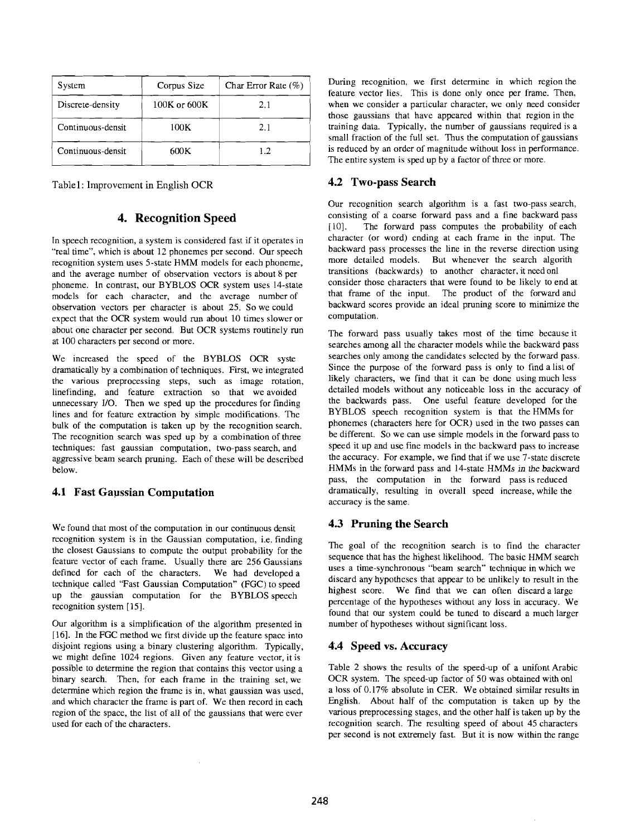| System            | Corpus Size      | Char Error Rate $(\%)$ |
|-------------------|------------------|------------------------|
| Discrete-density  | $100K$ or $600K$ | 2.1                    |
| Continuous-densit | 100K             | 2.1                    |
| Continuous-densit | 600K             | 12                     |

Table1: Improvement in English OCR

# **4. Recognition Speed**

In speech recognition, a system is considered fast if it operates in "real time", which is about 12 phonemes per second. Our speech recognition system uses 5-state HMM models for each phoneme, and the average number of observation vectors is about 8 per phoneme. In contrast, our BYBLOS OCR system uses 14-state models for each character, and the average number of observation vectors per character is about 25. So we could expect that the OCR system would run about 10 times slower or about one character per second. But OCR systems routinely run at 100 characters per second or more.

We increased the speed of the BYBLOS OCR syste dramatically by a combination of techniques. First, we integrated the various preprocessing steps, such as image rotation, linefinding, and feature extraction so that we avoided unnecessary I/O. Then we sped up the procedures for finding lines and for feature extraction by simple modifications. The bulk of the computation is taken up by the recognition search. The recognition search was sped up by a combination of three techniques: fast gaussian computation, two-pass search, and aggressive beam search pruning. Each of these will be described below.

#### **4.1 Fast Gaussian Computation**

We found that most of the computation in our continuous densit recognition system is in the Gaussian computation, *i.e.* finding the closest Gaussians to compute the output probability for the feature vector of each frame. Usually there are 256 Gaussians defined for each of the characters. We had developed a technique called "Fast Gaussian Computation" (FGC) to speed up the gaussian computation for the BYBLOS speech recognition system [15].

Our algorithm is a simplification of the algorithm presented in [16]. In the FGC method we first divide up the feature space into disjoint regions using a binary clustering algorithm. Typically, we might defme 1024 regions. Given any feature vector, it is possible to determine the region that contains this vector using a binary search. Then, for each frame in the training set, we determine which region the frame is in, what gaussian was used, and which character the frame is part of. We then record in each region of the space, the list of all of the gaussians that were ever used for each of the characters.

During recognition, we first determine in which region the feature vector lies. This is done only once per frame. Then, when we consider a particular character, we only need consider those gaussians that have appeared within that region in the training data. Typically, the number of gaussians required is a small fraction of the full set. Thus the computation of gaussians is reduced by an order of magnitude without loss in performance. The entire system is sped up by a factor of three or more.

#### **4.2 Two-pass Search**

Our recognition search algorithm is a fast two-pass search, consisting of a coarse forward pass and a fine backward pass [10]. The forward pass computes the probability of each character (or word) cnding at each frame in the input. The backward pass processes the line in the reverse direction using more detailed models. But whenever the search algorith transitions (backwards) to another character, it need onl consider those characters that were found to be likely to end at that frame of the input. The product of the forward and backward scores provide an ideal pruning score to minimize the computation.

The forward pass usually takes most of the time because it searches among all the character models while the backward pass searches only among the candidates selected by the forward pass. Since the purpose of the forward pass is only to find a list of likely characters, we find that it can be done using much less detailed models without any noticeable loss in the accuracy of the backwards pass. One useful feature developed for the BYBLOS speech recognition system is that the HMMs for phonemes (characters here for OCR) used in the two passes can be different. So we can use simple models in the forward pass to speed it up and use fine models in the backward pass to increase the accuracy. For example, we find that if we use 7-state discrete HMMs in the forward pass and 14-state HMMs in *lhe* backward pass, the computation in the forward pass is reduced dramatically, resulting in overall speed increase, while the accuracy is the same.

## **4.3 Pruning the Search**

The goal of the recognition search is to find the character sequence that has the highest likelihood. The basic HMM search uses a time-synchronous "beam search" technique in which we discard any hypotheses that appear to be unlikely to result in the highest score. We find that we can often discard a large percentage of the hypotheses without any loss in accuracy. We found that our system could be tuned to discard a much larger number of hypotheses without significant loss.

#### **4'.4 Speed vs. Accuracy**

Table 2 shows the results of the speed-up of a unifont Arabic OCR system. The speed-up factor of 50 was obtained with onl a loss of 0.17% absolute in CER. We obtained similar results in English. About half of the computation is taken up by the various preprocessing stages, and the other half is taken up by the recognition search. The resulting speed of about 45 characters per second is not extremely fast. But it is now within the range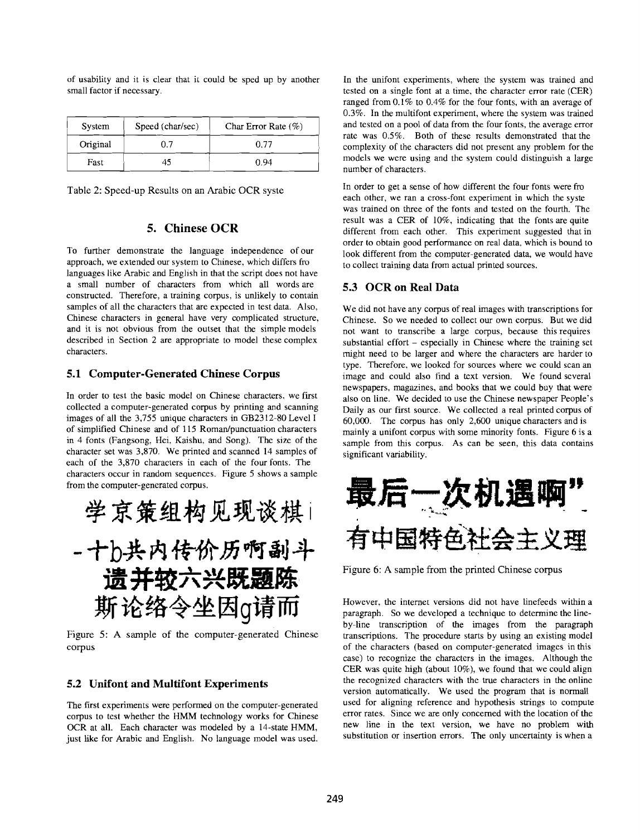of usability and it is clear that it could be sped up by another small factor if necessary.

| System   | Speed (char/sec) | Char Error Rate $(\% )$ |
|----------|------------------|-------------------------|
| Original | 0.7              | በ 77                    |
| Fast     | 45               | በ 94                    |

Table 2: Speed-up Results on an Arabic OCR syste

# **5. Chinese OCR**

To further demonstrate the language independence of our approach, we extended our system to Chinese, which differs fro languages like Arabic and English in that the script does not have a small number of characters from which all words are constructed. Therefore, a training corpus, is unlikely to contain samples of all the characters that are expected in test data. Also, Chinese characters in general have very complicated structure, and it is not obvious from the outset that the simple models described in Section 2 are appropriate to model these complex characters.

#### **5.1 Computer-Generated Chinese Corpus**

In order to test the basic model on Chinese characters, we first collected a computer-generated corpus by printing and scanning images of all the 3,755 unique characters in GB2312-80 Level I of simplified Chinese and of 115 Roman/punctuation characters in 4 fonts (Fangsong, Hei, Kaishu, and Song). The size of the character set was 3,870. We printed and scanned 14 samples of each of the 3,870 characters in each of the four fonts. The characters occur in random sequences. Figure 5 shows a sample from the computer-generated corpus.



 Figure 5: A sample of the computer-generated Chinese corpus

#### **5.2 Unifont and Multifont Experiments**

The first experiments were performed on the computer-generated corpus to test whether the HMM technology works for Chinese OCR at all. Each character was modeled by a 14-state HMM, just like for Arabic and English. No language model was used.

In the unifont experiments, where the system was trained and tested on a single font at a time, the character error rate (CER) ranged from 0.1% to 0.4% for the four fonts, with an average of 0.3%. In the multifont experiment, where the system was trained and tested on a pool of data from the four fonts, the average error rate was 0.5%. Both of these results demonstrated that the complexity of the characters did not present any problem for the models we were using and the system could distinguish a large number of characters.

In order to get a sense of how different the four fonts were fro each other, we ran a cross-font experiment in which the syste was trained on three of the fonts and tested on the fourth. The result was a CER of 10%, indicating that the fonts are quite different from each other. This experiment suggested that in order to obtain good performance on real data, which is bound to look different from the computer-generated data, we would have to collect training data from actual printed sources.

### **5.3 OCR on Real Data**

We did not have any corpus of real images with transcriptions for Chinese. So we needed to collect our own corpus. But we did not want to transcribe a large corpus, because this requires substantial effort  $-$  especially in Chinese where the training set might need to be larger and where the characters are harder to type. Therefore, we looked for sources where we could scan an image and could also find a text version. We found several newspapers, magazines, and books that we could buy that were also on line. We decided to use the Chinese newspaper People's Daily as our first source. We collected a real printed corpus of 60,000. The corpus has only 2,600 unique characters and is mainly a unifont corpus with some minority fonts. Figure 6 is a sample from this corpus. As can be seen, this data contains significant variability.



Figure 6: A sample from the printed Chinese corpus

However, the internet versions did not have linefeeds within a paragraph. So we developed a technique to determine the lineby-line transcription of the images from the paragraph transcriptions. The procedure starts by using an existing model of the characters (based on computer-generated images in this case) to recognize the characters in the images. Although the CER was quite high (about 10%), we found that we could align the recognized characters with the true characters in the online version automatically. We used the program that is normall used for aligning reference and hypothesis strings to compute error rates. Since we are only concerned with the location of the new line in the text version, we have no problem with substitution or insertion errors. The only uncertainty is when a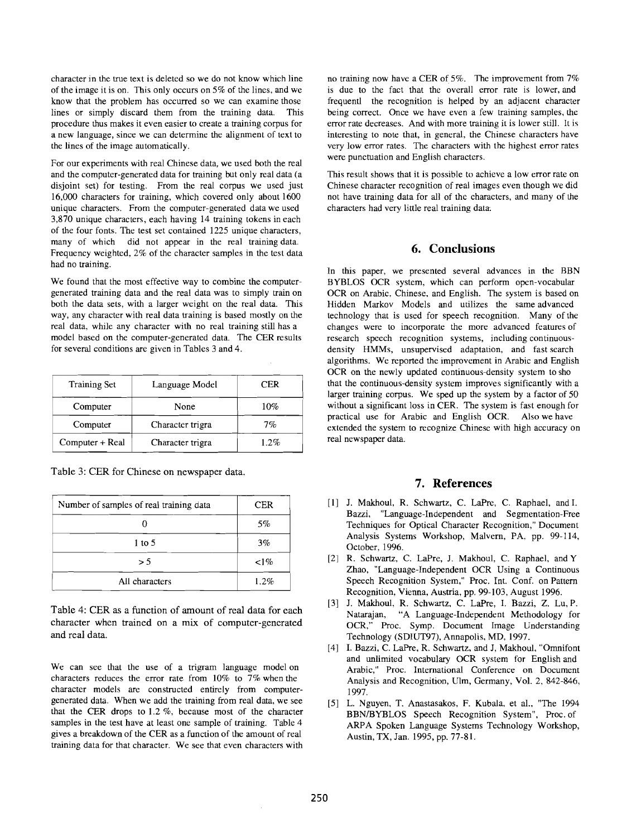character in the true text is deleted so we do not know which line of the image it is on. This only occurs on 5% of the lines, and we know that the problem has occurred so we can examine those lines or simply discard them from the training data. This procedure thus makes it even easier to create a training corpus for a new language, since we can determine the alignment of text to the lines of the image automatically.

For our experiments with real Chinese data, we used both the real and the computer-generated data for training but only real data (a disjoint set) for testing. From the real corpus we used just 16,000 characters for training, which covered only about 1600 unique characters. From the computer-generated data we used 3,870 unique characters, each having 14 training tokens in each of the four fonts. The test set contained 1225 unique characters, many of which did not appear in the real training data. Frequency weighted, 2% of the character samples in the test data had no training.

We found that the most effective way to combine the computergenerated training data and the real data was to simply train on both the data sets, with a larger weight on the real data. This way, any character with real data training is based mostly on the real data, while any character with no real training still has a model based on the computer-generated data. The CER results for several conditions are given in Tables 3 and 4.

| Training Set    | Language Model   | CER |
|-----------------|------------------|-----|
| Computer        | None             | 10% |
| Computer        | Character trigra | 7%  |
| Computer + Real | Character trigra | 12% |

Table 3: CER for Chinese on newspaper data.

| Number of samples of real training data | <b>CER</b> |
|-----------------------------------------|------------|
|                                         | 5%         |
| $1$ to 5                                | 3%         |
| > 5                                     | $1\%$      |
| All characters                          | $1.2\%$    |

Table 4: CER as a function of amount of real data for each character when trained on a mix of computer-generated and real data.

We can see that the use of a trigram language model on characters reduces the error rate from 10% to 7% when the character models are constructed entirely from computergenerated data. When we add the training from real data, we see that the CER drops to 1.2 %, because most of the character samples in the test have at least one sample of training. Table 4 gives a breakdown of the CER as a function of the amount of real training data for that character. We see that even characters with no training now have a CER of 5%. The improvement from 7% is due to the fact that the overall error rate is lower, and frequent! the recognition is helped by an adjacent character being correct. Once we have even a few training samples, the error rate decreases. And with more training it is lower still. It is interesting to note that, in general, the Chinese characters have very low error rates. The characters with the highest error rates were punctuation and English characters.

This result shows that it is possible to achieve a low error rate on Chinese character recognition of real images even though we did not have training data for all of the characters, and many of the characters had very little real training data,

#### **6. Conclusions**

In this paper, we presented several advances in the BBN BYBLOS OCR system, which can perform open-vocabular OCR on Arabic, Chinese, and English. The system is based on Hidden Markov Models and utilizes the same advanced technology that is used for speech recognition. Many of the changes were to incorporate the more advanced features of research speech recognition systems, including continuousdensity HMMs, unsupervised adaptation, and fast search algorithms. We reported the improvement in Arabic and English OCR on the newly updated continuous-density system to sho that the continuous-density system improves significantly with a larger training corpus. We sped up the system by a factor of 50 without a significant loss in CER. The system is fast enough for practical use for Arabic and English OCR. Also we have extended the system to recognize Chinese with high accuracy on real newspaper data.

#### **7. References**

- [1] J. Makhoul, R. Schwartz, C. LaPre, C. Raphael, and I. Bazzi, "Language-Independent and Segmentation-Free Techniques for Optical Character Recognition," Document Analysis Systems Workshop, Malvern, PA, pp. 99-114, October, 1996.
- [2] R. Schwartz, C. LaPre, J. Makhoul, C. Raphael, and Y Zhao, "Language-Independent OCR Using a Continuous Speech Recognition System," Proc. Int. Conf. on Pattern Recognition, Vienna, Austria, pp. 99-103, August 1996.
- [3] J. Makhoul, R. Schwartz, C. LaPre, I. Bazzi, Z. Lu, P. Natarajan, "A Language-Independent Methodology for OCR," Proc. Symp. Document Image Understanding Technology (SDIUT97), Annapolis, MD, 1997.
- [4] I. Bazzi, C. LaPre, R. Schwartz, and J, Makhoul, "Omnifont and unlimited vocabulary OCR system for English and Arabic," Proc. International Conference on Document Analysis and Recognition, Ulm, Germany, Vol. 2, 842-846, 1997.
- [5] L. Nguyen, T. Anastasakos, F. Kubala, et al., "The 1994 BBNIBYBLOS Speech Recognition System", Proc. of ARPA Spoken Language Systems Technology Workshop, Austin, TX, Jan. 1995, pp. 77-81.